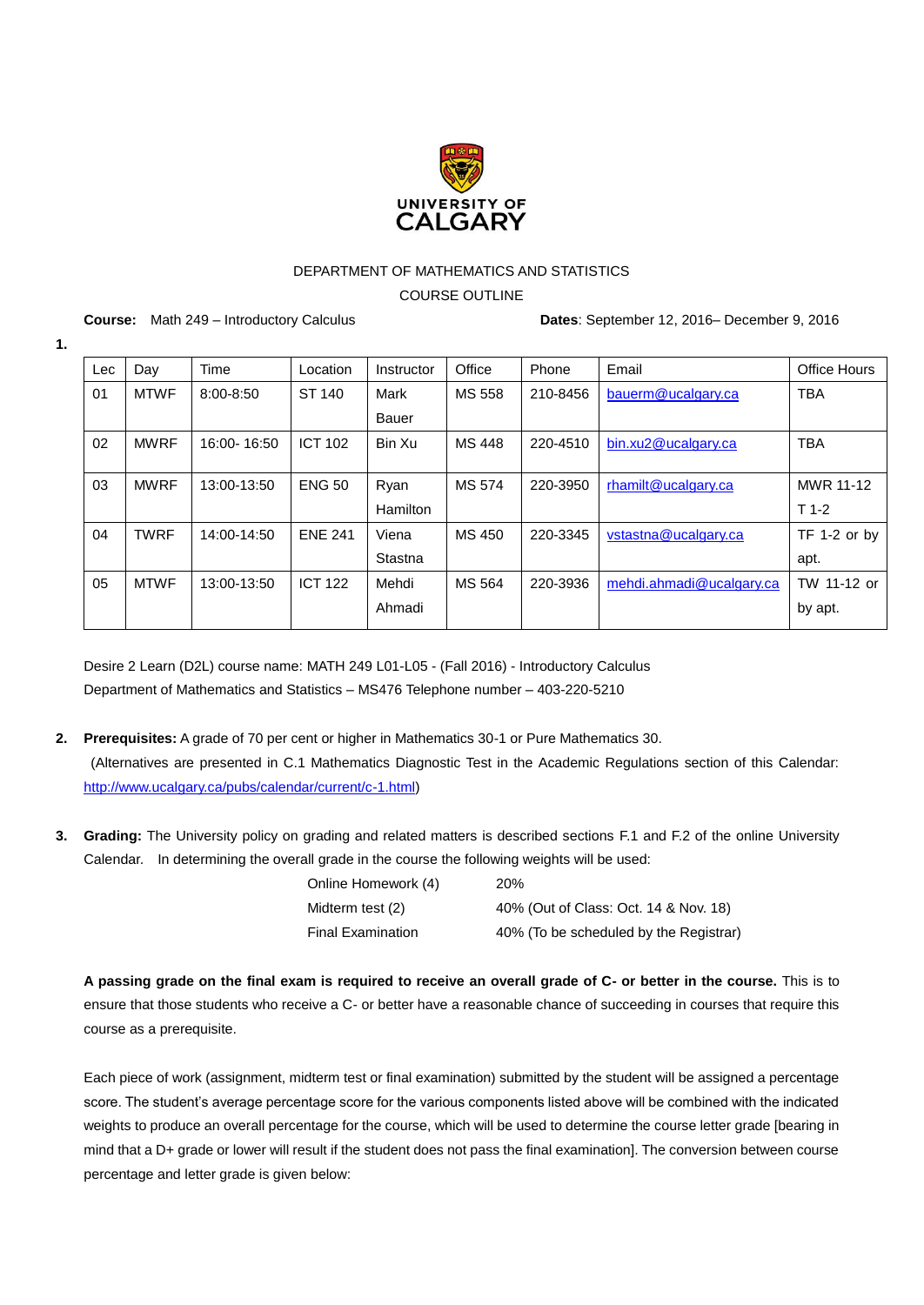

## DEPARTMENT OF MATHEMATICS AND STATISTICS

COURSE OUTLINE

**1.**

**Course:** Math 249 – Introductory Calculus **Dates**: September 12, 2016– December 9, 2016

| Lec | Day         | Time          | Location       | Instructor      | Office | Phone    | Email                    | Office Hours |
|-----|-------------|---------------|----------------|-----------------|--------|----------|--------------------------|--------------|
| 01  | <b>MTWF</b> | $8:00 - 8:50$ | ST 140         | Mark            | MS 558 | 210-8456 | bauerm@ucalgary.ca       | <b>TBA</b>   |
|     |             |               |                | <b>Bauer</b>    |        |          |                          |              |
| 02  | <b>MWRF</b> | 16:00-16:50   | <b>ICT 102</b> | Bin Xu          | MS 448 | 220-4510 | bin.xu2@ucalgary.ca      | <b>TBA</b>   |
|     |             |               |                |                 |        |          |                          |              |
| 03  | <b>MWRF</b> | 13:00-13:50   | <b>ENG 50</b>  | Ryan            | MS 574 | 220-3950 | rhamilt@ucalgary.ca      | MWR 11-12    |
|     |             |               |                | <b>Hamilton</b> |        |          |                          | $T$ 1-2      |
| 04  | <b>TWRF</b> | 14:00-14:50   | <b>ENE 241</b> | Viena           | MS 450 | 220-3345 | vstastna@ucalgary.ca     | TF 1-2 or by |
|     |             |               |                | Stastna         |        |          |                          | apt.         |
| 05  | <b>MTWF</b> | 13:00-13:50   | <b>ICT 122</b> | Mehdi           | MS 564 | 220-3936 | mehdi.ahmadi@ucalgary.ca | TW 11-12 or  |
|     |             |               |                | Ahmadi          |        |          |                          | by apt.      |

Desire 2 Learn (D2L) course name: MATH 249 L01-L05 - (Fall 2016) - Introductory Calculus Department of Mathematics and Statistics – MS476 Telephone number – 403-220-5210

- **2. Prerequisites:** A grade of 70 per cent or higher in Mathematics 30-1 or Pure Mathematics 30. (Alternatives are presented in C.1 Mathematics Diagnostic Test in the Academic Regulations section of this Calendar: [http://www.ucalgary.ca/pubs/calendar/current/c-1.html\)](http://www.ucalgary.ca/pubs/calendar/current/c-1.html)
- **3. Grading:** The University policy on grading and related matters is described sections [F.1](http://www.ucalgary.ca/pubs/calendar/current/f-1.html) and [F.2](http://www.ucalgary.ca/pubs/calendar/current/f-2.html) of the online University Calendar. In determining the overall grade in the course the following weights will be used:

| Online Homework (4)      | <b>20%</b>                             |
|--------------------------|----------------------------------------|
| Midterm test (2)         | 40% (Out of Class: Oct. 14 & Nov. 18)  |
| <b>Final Examination</b> | 40% (To be scheduled by the Registrar) |

**A passing grade on the final exam is required to receive an overall grade of C- or better in the course.** This is to ensure that those students who receive a C- or better have a reasonable chance of succeeding in courses that require this course as a prerequisite.

Each piece of work (assignment, midterm test or final examination) submitted by the student will be assigned a percentage score. The student's average percentage score for the various components listed above will be combined with the indicated weights to produce an overall percentage for the course, which will be used to determine the course letter grade [bearing in mind that a D+ grade or lower will result if the student does not pass the final examination]. The conversion between course percentage and letter grade is given below: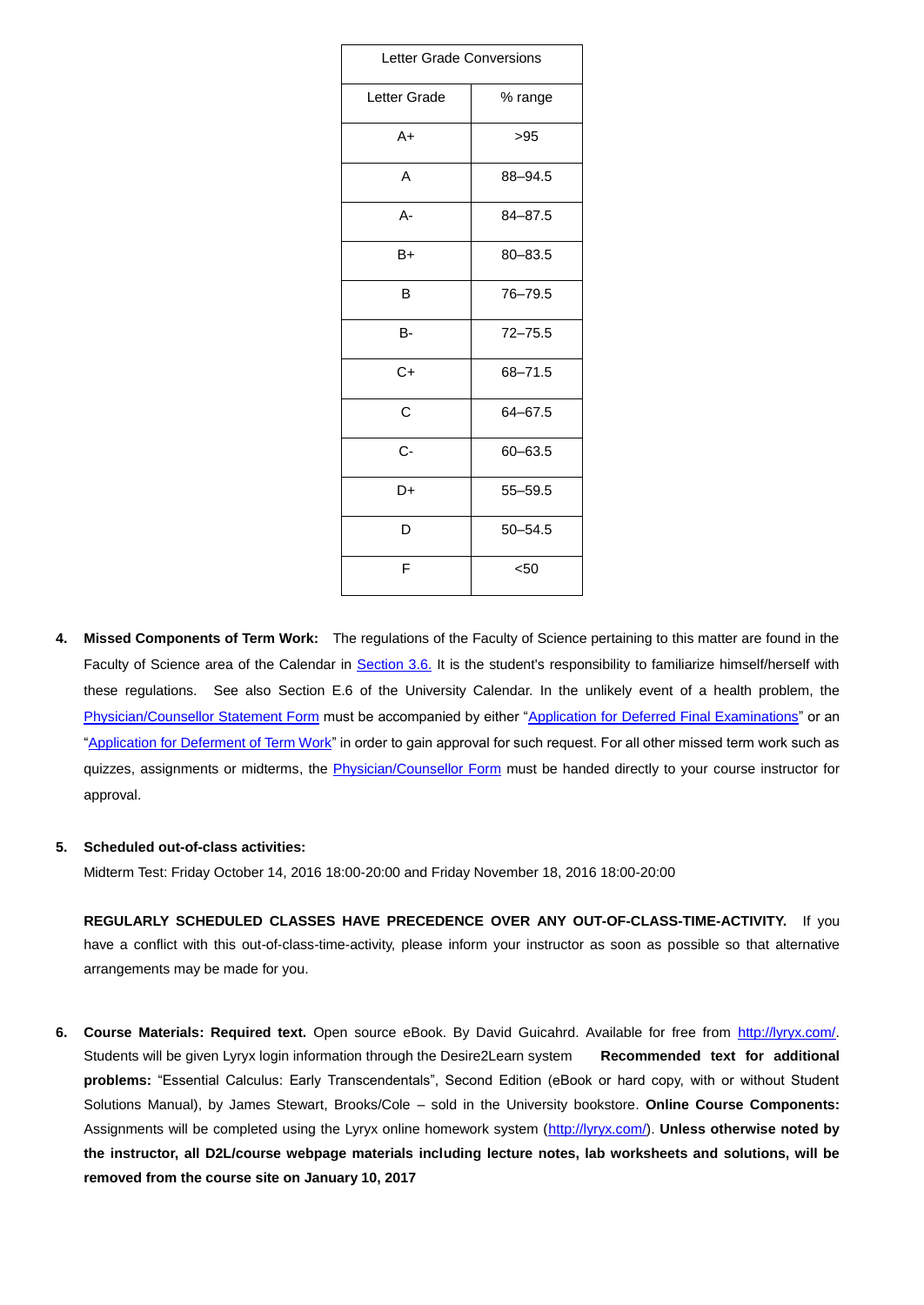| <b>Letter Grade Conversions</b> |             |  |  |  |
|---------------------------------|-------------|--|--|--|
| Letter Grade                    | % range     |  |  |  |
| $A+$                            | $>95$       |  |  |  |
| A                               | 88-94.5     |  |  |  |
| A-                              | $84 - 87.5$ |  |  |  |
| B+                              | $80 - 83.5$ |  |  |  |
| B                               | 76-79.5     |  |  |  |
| B-                              | $72 - 75.5$ |  |  |  |
| $C+$                            | 68-71.5     |  |  |  |
| C                               | 64-67.5     |  |  |  |
| $C -$                           | $60 - 63.5$ |  |  |  |
| D+                              | $55 - 59.5$ |  |  |  |
| D                               | $50 - 54.5$ |  |  |  |
| F                               | $50$        |  |  |  |

**4. Missed Components of Term Work:** The regulations of the Faculty of Science pertaining to this matter are found in the Faculty of Science area of the Calendar in [Section 3.6.](http://www.ucalgary.ca/pubs/calendar/current/sc-3-6.html) It is the student's responsibility to familiarize himself/herself with these regulations. See also [Section E.6](http://www.ucalgary.ca/pubs/calendar/current/e-6.html) of the University Calendar. In the unlikely event of a health problem, the [Physician/Counsellor Statement](http://www.ucalgary.ca/registrar/files/registrar/physcoun15.pdf) Form must be accompanied by either ["Application for Deferred Final Examinations"](https://www.ucalgary.ca/registrar/files/registrar/dfe-application-f15.pdf) or an "Application for **Deferment of Term Work**" in order to gain approval for such request. For all other missed term work such as quizzes, assignments or midterms, the [Physician/Counsellor Form](http://www.ucalgary.ca/registrar/files/registrar/physcoun15.pdf) must be handed directly to your course instructor for approval.

## **5. Scheduled out-of-class activities:**

Midterm Test: Friday October 14, 2016 18:00-20:00 and Friday November 18, 2016 18:00-20:00

**REGULARLY SCHEDULED CLASSES HAVE PRECEDENCE OVER ANY OUT-OF-CLASS-TIME-ACTIVITY.** If you have a conflict with this out-of-class-time-activity, please inform your instructor as soon as possible so that alternative arrangements may be made for you.

**6. Course Materials: Required text.** Open source eBook. By David Guicahrd. Available for free from [http://lyryx.com/.](http://lyryx.com/) Students will be given Lyryx login information through the Desire2Learn system **Recommended text for additional problems:** "Essential Calculus: Early Transcendentals", Second Edition (eBook or hard copy, with or without Student Solutions Manual), by James Stewart, Brooks/Cole – sold in the University bookstore. **Online Course Components:**  Assignments will be completed using the Lyryx online homework system [\(http://lyryx.com/\)](http://lyryx.com/). **Unless otherwise noted by the instructor, all D2L/course webpage materials including lecture notes, lab worksheets and solutions, will be removed from the course site on January 10, 2017**